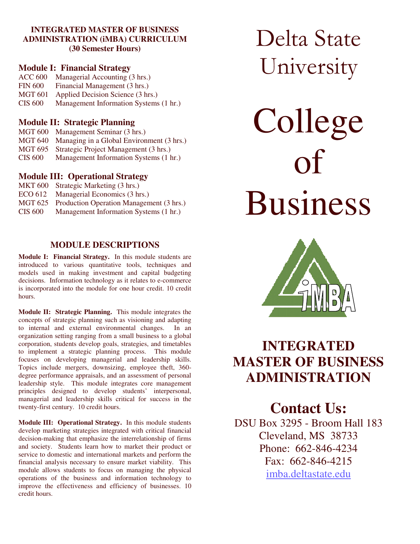### **INTEGRATED MASTER OF BUSINESS ADMINISTRATION (iMBA) CURRICULUM (30 Semester Hours)**

### **Module I: Financial Strategy**

ACC 600 Managerial Accounting (3 hrs.) FIN 600 Financial Management (3 hrs.) MGT 601 Applied Decision Science (3 hrs.) CIS 600 Management Information Systems (1 hr.)

### **Module II: Strategic Planning**

MGT 600 Management Seminar (3 hrs.) MGT 640 Managing in a Global Environment (3 hrs.) MGT 695 Strategic Project Management (3 hrs.) CIS 600 Management Information Systems (1 hr.)

## **Module III: Operational Strategy**

| <b>MKT 600</b> | Strategic Marketing (3 hrs.)             |
|----------------|------------------------------------------|
| ECO 612        | Managerial Economics (3 hrs.)            |
| <b>MGT 625</b> | Production Operation Management (3 hrs.) |
| <b>CIS 600</b> | Management Information Systems (1 hr.)   |
|                |                                          |

# **MODULE DESCRIPTIONS**

**Module I: Financial Strategy.** In this module students are introduced to various quantitative tools, techniques and models used in making investment and capital budgeting decisions. Information technology as it relates to e-commerce is incorporated into the module for one hour credit. 10 credit hours.

**Module II: Strategic Planning.** This module integrates the concepts of strategic planning such as visioning and adapting to internal and external environmental changes. In an organization setting ranging from a small business to a global corporation, students develop goals, strategies, and timetables to implement a strategic planning process. This module focuses on developing managerial and leadership skills. Topics include mergers, downsizing, employee theft, 360 degree performance appraisals, and an assessment of personal leadership style. This module integrates core management principles designed to develop students' interpersonal, managerial and leadership skills critical for success in the twenty-first century. 10 credit hours.

**Module III: Operational Strategy.** In this module students develop marketing strategies integrated with critical financial decision-making that emphasize the interrelationship of firms and society. Students learn how to market their product or service to domestic and international markets and perform the financial analysis necessary to ensure market viability. This module allows students to focus on managing the physical operations of the business and information technology to improve the effectiveness and efficiency of businesses. 10 credit hours.

Delta State University

College of Business



# **INTEGRATED MASTER OF BUSINESS ADMINISTRATION**

# **Contact Us:**

DSU Box 3295 - Broom Hall 183 Cleveland, MS 38733 Phone: 662-846-4234 Fax: 662-846-4215 imba.deltastate.edu